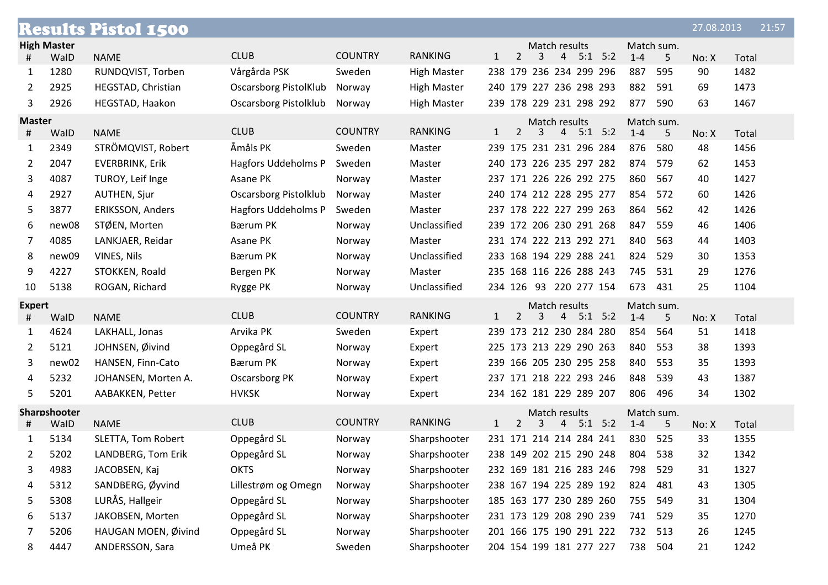|                            |                    | <b>Results Pistol 1500</b> |                              |                |                    |              |                |   |                    |                         |             |         |                 | 27.08.2013 |       | 21:57 |
|----------------------------|--------------------|----------------------------|------------------------------|----------------|--------------------|--------------|----------------|---|--------------------|-------------------------|-------------|---------|-----------------|------------|-------|-------|
|                            | <b>High Master</b> |                            |                              |                |                    |              |                |   | Match results      |                         |             |         | Match sum.      |            |       |       |
| #                          | WalD               | <b>NAME</b>                | <b>CLUB</b>                  | <b>COUNTRY</b> | <b>RANKING</b>     | $\mathbf{1}$ | $\overline{2}$ | 3 | $\overline{4}$     |                         | $5:1$ $5:2$ | $1 - 4$ | 5               | No: X      | Total |       |
| 1                          | 1280               | RUNDQVIST, Torben          | Vårgårda PSK                 | Sweden         | <b>High Master</b> |              |                |   |                    | 238 179 236 234 299 296 |             | 887     | 595             | 90         | 1482  |       |
| 2                          | 2925               | HEGSTAD, Christian         | <b>Oscarsborg PistolKlub</b> | Norway         | <b>High Master</b> |              |                |   |                    | 240 179 227 236 298 293 |             | 882     | 591             | 69         | 1473  |       |
| 3                          | 2926               | HEGSTAD, Haakon            | Oscarsborg Pistolklub        | Norway         | High Master        |              |                |   |                    | 239 178 229 231 298 292 |             | 877     | 590             | 63         | 1467  |       |
| <b>Master</b><br>#         | WalD               | <b>NAME</b>                | <b>CLUB</b>                  | <b>COUNTRY</b> | <b>RANKING</b>     | $\mathbf{1}$ | $\overline{2}$ | 3 | Match results      | $4$ 5:1 5:2             |             | $1 - 4$ | Match sum.<br>5 | No: X      | Total |       |
| 1                          | 2349               | STRÖMQVIST, Robert         | Åmåls PK                     | Sweden         | Master             |              |                |   |                    | 239 175 231 231 296 284 |             | 876     | 580             | 48         | 1456  |       |
| 2                          | 2047               | <b>EVERBRINK, Erik</b>     | Hagfors Uddeholms P          | Sweden         | Master             |              |                |   |                    | 240 173 226 235 297 282 |             | 874     | 579             | 62         | 1453  |       |
| 3                          | 4087               | TUROY, Leif Inge           | Asane PK                     | Norway         | Master             |              |                |   |                    | 237 171 226 226 292 275 |             | 860     | 567             | 40         | 1427  |       |
| 4                          | 2927               | <b>AUTHEN, Sjur</b>        | <b>Oscarsborg Pistolklub</b> | Norway         | Master             |              |                |   |                    | 240 174 212 228 295 277 |             | 854     | 572             | 60         | 1426  |       |
| 5                          | 3877               | <b>ERIKSSON, Anders</b>    | Hagfors Uddeholms P          | Sweden         | Master             |              |                |   |                    | 237 178 222 227 299 263 |             | 864     | 562             | 42         | 1426  |       |
| 6                          | new08              | STØEN, Morten              | <b>Bærum PK</b>              | Norway         | Unclassified       |              |                |   |                    | 239 172 206 230 291 268 |             | 847     | 559             | 46         | 1406  |       |
| 7                          | 4085               | LANKJAER, Reidar           | Asane PK                     | Norway         | Master             |              |                |   |                    | 231 174 222 213 292 271 |             | 840     | 563             | 44         | 1403  |       |
| 8                          | new09              | VINES, Nils                | <b>Bærum PK</b>              | Norway         | Unclassified       |              |                |   |                    | 233 168 194 229 288 241 |             | 824     | 529             | 30         | 1353  |       |
| 9                          | 4227               | STOKKEN, Roald             | Bergen PK                    | Norway         | Master             |              |                |   |                    | 235 168 116 226 288 243 |             | 745     | 531             | 29         | 1276  |       |
| 10                         | 5138               | ROGAN, Richard             | Rygge PK                     | Norway         | Unclassified       |              |                |   |                    | 234 126 93 220 277 154  |             | 673     | 431             | 25         | 1104  |       |
| <b>Expert</b>              |                    |                            |                              |                |                    |              |                |   | Match results      |                         |             |         | Match sum.      |            |       |       |
| #                          | WalD               | <b>NAME</b>                | <b>CLUB</b>                  | <b>COUNTRY</b> | <b>RANKING</b>     | $\mathbf{1}$ | $\overline{2}$ | 3 | 4                  |                         | $5:1$ $5:2$ | $1 - 4$ | 5               | No: X      | Total |       |
| 1                          | 4624               | LAKHALL, Jonas             | Arvika PK                    | Sweden         | Expert             |              |                |   |                    | 239 173 212 230 284 280 |             | 854     | 564             | 51         | 1418  |       |
| 2                          | 5121               | JOHNSEN, Øivind            | Oppegård SL                  | Norway         | Expert             |              |                |   |                    | 225 173 213 229 290 263 |             | 840     | 553             | 38         | 1393  |       |
| 3                          | new02              | HANSEN, Finn-Cato          | <b>Bærum PK</b>              | Norway         | Expert             |              |                |   |                    | 239 166 205 230 295 258 |             | 840     | 553             | 35         | 1393  |       |
| 4                          | 5232               | JOHANSEN, Morten A.        | Oscarsborg PK                | Norway         | Expert             |              |                |   |                    | 237 171 218 222 293 246 |             | 848     | 539             | 43         | 1387  |       |
| 5                          | 5201               | AABAKKEN, Petter           | <b>HVKSK</b>                 | Norway         | Expert             |              |                |   |                    | 234 162 181 229 289 207 |             | 806     | 496             | 34         | 1302  |       |
| Sharpshooter<br>WalD<br>Ħ, |                    | <b>NAME</b>                | <b>CLUB</b>                  | <b>COUNTRY</b> | <b>RANKING</b>     | $\mathbf{1}$ | $\overline{2}$ | 3 | Match results<br>4 |                         | $5:1$ $5:2$ | $1 - 4$ | Match sum.<br>5 | No: X      | Total |       |
| 1                          | 5134               | SLETTA, Tom Robert         | Oppegård SL                  | Norway         | Sharpshooter       |              |                |   |                    | 231 171 214 214 284 241 |             | 830     | 525             | 33         | 1355  |       |
|                            | 5202               | LANDBERG, Tom Erik         | Oppegård SL                  | Norway         | Sharpshooter       |              |                |   |                    | 238 149 202 215 290 248 |             | 804     | 538             | 32         | 1342  |       |
| 3                          | 4983               | JACOBSEN, Kaj              | <b>OKTS</b>                  | Norway         | Sharpshooter       |              |                |   |                    | 232 169 181 216 283 246 |             | 798     | 529             | 31         | 1327  |       |
| 4                          | 5312               | SANDBERG, Øyvind           | Lillestrøm og Omegn          | Norway         | Sharpshooter       |              |                |   |                    | 238 167 194 225 289 192 |             | 824     | 481             | 43         | 1305  |       |
| 5                          | 5308               | LURÅS, Hallgeir            | Oppegård SL                  | Norway         | Sharpshooter       |              |                |   |                    | 185 163 177 230 289 260 |             | 755     | 549             | 31         | 1304  |       |
| 6                          | 5137               | JAKOBSEN, Morten           | Oppegård SL                  | Norway         | Sharpshooter       |              |                |   |                    | 231 173 129 208 290 239 |             | 741     | 529             | 35         | 1270  |       |
| 7                          | 5206               | HAUGAN MOEN, Øivind        | Oppegård SL                  | Norway         | Sharpshooter       |              |                |   |                    | 201 166 175 190 291 222 |             | 732 513 |                 | 26         | 1245  |       |
| 8                          | 4447               | ANDERSSON, Sara            | Umeå PK                      | Sweden         | Sharpshooter       |              |                |   |                    | 204 154 199 181 277 227 |             | 738 504 |                 | 21         | 1242  |       |